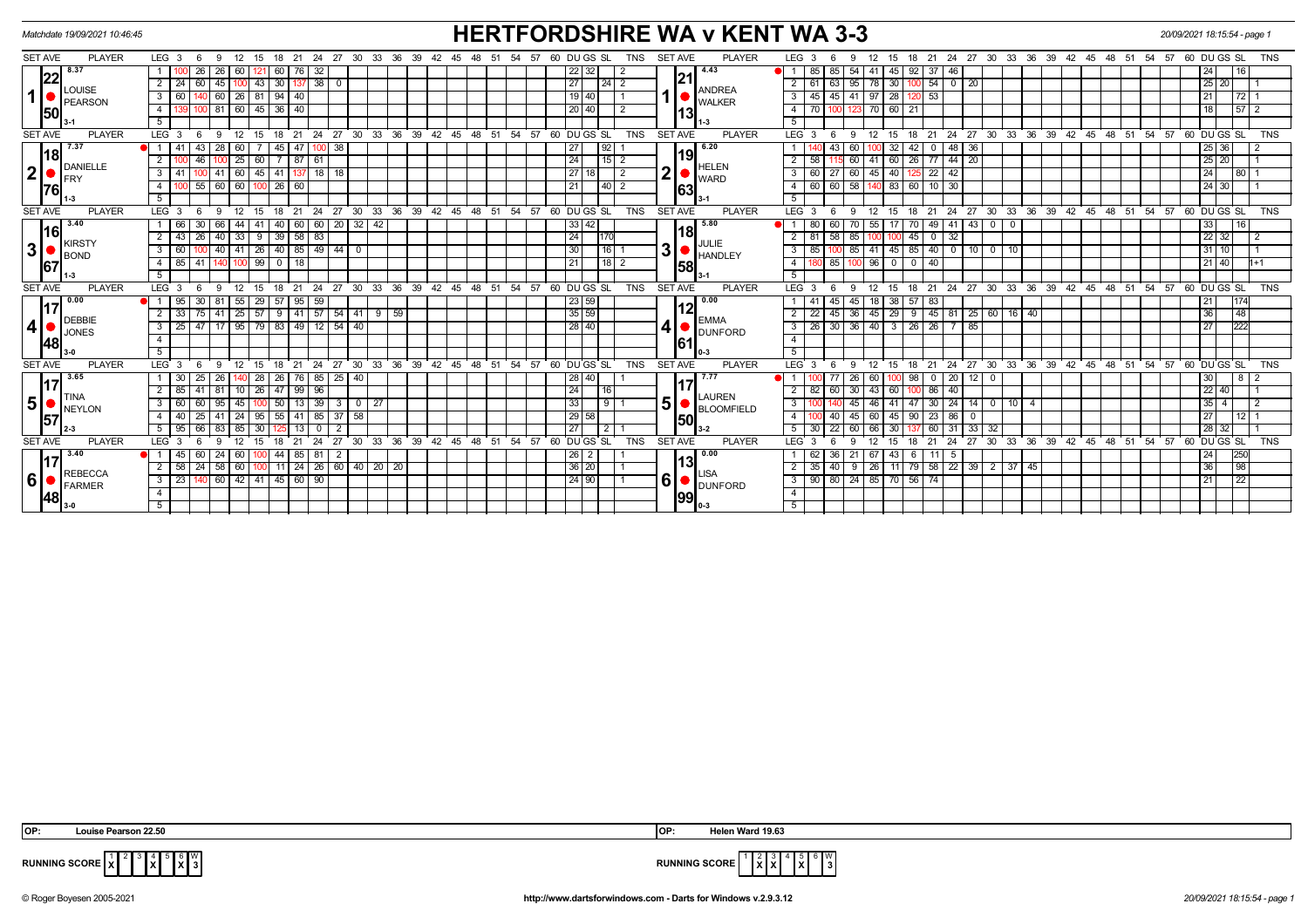| <b>HERTFORDSHIRE WA v KENT WA 3-3</b><br>Matchdate 19/09/2021 10:46:45 |                |                                      |                |                  |                 |                                                                      |              |                         |                         |                    |                               |                |          |                                      |      | 20/09/2021 18:15:54 - page 1    |          |       |                  |                 |                  |                 |                               |                |             |                |                         |               |                         |                 |                       |                      |        |                                     |                      |                 |    |                       |               |               |                                     |                                                      |       |                               |             |                    |                 |            |
|------------------------------------------------------------------------|----------------|--------------------------------------|----------------|------------------|-----------------|----------------------------------------------------------------------|--------------|-------------------------|-------------------------|--------------------|-------------------------------|----------------|----------|--------------------------------------|------|---------------------------------|----------|-------|------------------|-----------------|------------------|-----------------|-------------------------------|----------------|-------------|----------------|-------------------------|---------------|-------------------------|-----------------|-----------------------|----------------------|--------|-------------------------------------|----------------------|-----------------|----|-----------------------|---------------|---------------|-------------------------------------|------------------------------------------------------|-------|-------------------------------|-------------|--------------------|-----------------|------------|
|                                                                        | <b>SET AVE</b> | <b>PLAYER</b>                        |                | LEG <sub>3</sub> | - 6             | -9                                                                   | 12 15        |                         |                         |                    |                               |                |          | 18 21 24 27 30 33 36 39 42           |      |                                 | 45       | - 48  | - 54<br>51       | 57              |                  |                 | 60 DU GS SL                   | TNS            |             | <b>SET AVE</b> |                         | <b>PLAYER</b> | LEG <sub>3</sub>        |                 |                       |                      | 15     |                                     |                      |                 |    |                       |               |               | 18 21 24 27 30 33 36 39 42 45 48 51 |                                                      | 54 57 |                               | 60 DU GS SL |                    |                 | <b>TNS</b> |
|                                                                        |                | 8.37                                 |                |                  | 26              | 26                                                                   | 60 I         |                         | 60                      | 76                 | 32                            |                |          |                                      |      |                                 |          |       |                  |                 |                  | $ 22\rangle$    | 32                            | 2              |             |                | 4.43                    |               |                         | 85 I            | 85<br>54              |                      | 45     | 92 37                               | 46                   |                 |    |                       |               |               |                                     |                                                      |       |                               | 24 l        |                    | 16              |            |
| $\mathbf{1}$                                                           | 22             |                                      | $\overline{2}$ | - 24 I           | 60              | 45                                                                   |              | $43 \mid 30 \mid$       |                         |                    | $137$ 38 0                    |                |          |                                      |      |                                 |          |       |                  |                 |                  | 27              |                               | $\sqrt{24}$ 2  |             | 21             |                         |               | 2                       | 61              | 63                    | 95 78 30             |        |                                     |                      | $100$ 54 0 20   |    |                       |               |               |                                     |                                                      |       |                               |             | 25 20              |                 |            |
|                                                                        |                | <b>LOUISE</b><br><b>PEARSON</b>      | 3              | 60               |                 | 60                                                                   | $26$   81    |                         | 94                      | 40                 |                               |                |          |                                      |      |                                 |          |       |                  |                 |                  | 19 40           |                               |                |             |                | ANDREA<br><b>WALKER</b> |               |                         | 45              | 45                    | 41 97 28             |        | 0 <sub>53</sub>                     |                      |                 |    |                       |               |               |                                     |                                                      |       |                               | 21          |                    | 72              |            |
|                                                                        | 50             |                                      | $\overline{4}$ | 81               |                 | 60 45 36                                                             |              | 40                      |                         |                    |                               |                |          |                                      |      |                                 |          |       |                  | 20 40           |                  |                 |                               |                | 13          |                |                         | 70            |                         | 123 70 60       |                       | 21                   |        |                                     |                      |                 |    |                       |               |               |                                     |                                                      | 18 I  |                               | 57 2        |                    |                 |            |
|                                                                        |                |                                      | $5^{-}$        |                  |                 |                                                                      |              |                         |                         |                    |                               |                |          |                                      |      |                                 |          |       |                  |                 |                  |                 |                               |                |             |                |                         |               |                         |                 |                       |                      |        |                                     |                      |                 |    |                       |               |               |                                     |                                                      |       |                               |             |                    |                 |            |
|                                                                        | <b>SET AVE</b> | <b>PLAYER</b>                        |                | $LEG^{\cdot}$ 3  |                 |                                                                      |              | 15                      | 18                      | 21                 | 24<br>27                      |                | 30 33    |                                      |      | $36 \cdot 39 \cdot 42 \cdot 45$ |          | 48 51 | 54               | 57              |                  |                 | 60 DUGS SL                    | <b>TNS</b>     |             | <b>SET AVE</b> |                         | <b>PLAYER</b> | LEG <sub>3</sub>        |                 |                       |                      | 15     |                                     | 24<br>21             | $^{\circ}$ 27   | 30 | 33                    | $36 \quad 39$ | $42 \quad 45$ | 48                                  | 51                                                   | 54.57 |                               | 60 DU GS SL |                    |                 |            |
|                                                                        |                | 7.37                                 |                |                  |                 | 28                                                                   |              |                         | 45                      | 47 I               | 100 38                        |                |          |                                      |      |                                 |          |       |                  |                 |                  | 27              | 92                            |                |             |                | 6.20                    |               |                         |                 |                       |                      | 32     |                                     | 48                   | 36              |    |                       |               |               |                                     |                                                      |       |                               |             | 25 36              |                 |            |
|                                                                        | <b>18</b>      |                                      | $\overline{2}$ |                  | 46              |                                                                      | 25   60      |                         | 7 87 61                 |                    |                               |                |          |                                      |      |                                 |          |       |                  |                 |                  | 24              |                               | $15$   2       |             |                | 19                      |               | $\overline{2}$          | 58 <sup>1</sup> | 60                    | $41 \ 60$            |        |                                     |                      | 26 77 44 20     |    |                       |               |               |                                     |                                                      |       |                               |             | $25 \mid 20$       |                 |            |
| 2                                                                      |                | <b>DANIELLE</b><br>FRY               | 3              | l 41             |                 |                                                                      |              |                         |                         |                    | 41 60 45 41 137 18 18         |                |          |                                      |      |                                 |          |       |                  |                 |                  | $\overline{27}$ |                               | $\overline{2}$ |             | 2              | HELEN<br><b>WARD</b>    |               | 3                       | 60 l            | $\overline{27}$       | 60 45 40             |        |                                     | $125$ 22 42          |                 |    |                       |               |               |                                     |                                                      |       |                               | 24          |                    | 80              |            |
|                                                                        | <b>76</b>      |                                      | 4              |                  | 55              | 60                                                                   |              | $\boxed{60}$   100   26 |                         | 60                 |                               |                |          |                                      |      |                                 |          |       |                  |                 |                  | 21              |                               | 40 2           |             | 63             |                         |               | 4                       | 60 I            | 58<br>60              |                      | 140 83 |                                     | 60 10 30             |                 |    |                       |               |               |                                     |                                                      |       |                               |             | 24 30              |                 |            |
|                                                                        |                |                                      | 5              |                  |                 |                                                                      |              |                         |                         |                    |                               |                |          |                                      |      |                                 |          |       |                  |                 |                  |                 |                               |                |             |                |                         |               | 5                       |                 |                       |                      |        |                                     |                      |                 |    |                       |               |               |                                     |                                                      |       |                               |             |                    |                 |            |
|                                                                        | <b>SET AVE</b> | <b>PLAYER</b>                        |                | $LEG^3$ 3        | - 6             | 9                                                                    | 12           | 15                      | 18                      | $^{\circ}$ 21      | $\degree$ 27<br>$^{\circ}$ 24 |                |          | 30 33 36 39 42 45 48 51              |      |                                 |          |       |                  |                 |                  |                 | $54$ $57$ $60$ $DU$ $GS$ $SL$ | <b>TNS</b>     |             | <b>SET AVE</b> |                         | <b>PLAYER</b> | LEG <sub>3</sub>        | - 6             | $\mathbf{Q}$          | 12                   | 15     | 18                                  |                      | 21 24 27        |    | 30 33 36 39           |               |               | $42 \quad 45 \quad 48 \quad 51$     |                                                      |       | $54$ $57$ $60$ $DU$ $GS$ $SL$ |             |                    |                 | <b>TNS</b> |
| 3                                                                      | 16<br>67       | 3.40<br><b>KIRSTY</b><br><b>BOND</b> |                | l 66 I           | 30              | 66                                                                   | 44 I         | 41                      | 40                      |                    | 60 60 20 32 42                |                |          |                                      |      |                                 |          |       |                  |                 |                  | 33 42           |                               |                |             |                | 5.80                    |               |                         | 80              | 60<br>70              | 55                   | 17     |                                     |                      | 70 49 41 43 0 0 |    |                       |               |               |                                     |                                                      |       |                               | 33          |                    | 16              |            |
|                                                                        |                |                                      | $\overline{2}$ | 43               | 26              | 40                                                                   | $33 \mid 9$  |                         | 39                      | $58$ $83$          |                               |                |          |                                      |      |                                 |          |       |                  |                 |                  | 24              | 170                           |                |             |                | 18                      |               | $\overline{2}$          | 81              | 58<br>85              |                      |        | $45$ 0                              | $\overline{32}$      |                 |    |                       |               |               |                                     |                                                      |       |                               |             | $\overline{22}$ 32 |                 |            |
|                                                                        |                |                                      | $3-1$          |                  | $\overline{60}$ | 40                                                                   |              | 41 26 40 85 49 44       |                         | $\overline{\circ}$ |                               |                |          |                                      |      |                                 |          |       |                  | $\overline{30}$ | $\frac{1}{16}$ 1 |                 |                               | 3              | JULIE       | <b>HANDLEY</b> | 3                       | 85            | 85                      |                 |                       |                      |        | 41   45   85   40   0   10   0   10 |                      |                 |    |                       |               |               |                                     |                                                      |       | 31 10                         |             |                    |                 |            |
|                                                                        |                |                                      |                |                  |                 |                                                                      |              |                         | 4 85 41 140 100 99 0 18 |                    |                               |                |          |                                      |      |                                 | 21       |       | $\frac{1}{18}$ 2 |                 | <b>1581</b>      |                 |                               | $\overline{4}$ |             |                | 180 85 100 96 0 0 0 40  |               |                         |                 |                       |                      |        |                                     |                      |                 |    |                       |               |               | 21   40                             | $11+1$                                               |       |                               |             |                    |                 |            |
|                                                                        |                |                                      | 5              |                  |                 |                                                                      |              |                         |                         |                    |                               |                |          |                                      |      |                                 |          |       |                  |                 |                  |                 |                               |                |             |                |                         |               | $-5$                    |                 |                       |                      |        |                                     |                      |                 |    |                       |               |               |                                     |                                                      |       |                               |             |                    |                 |            |
|                                                                        | <b>SET AVE</b> | <b>PLAYER</b>                        |                | LEG <sub>3</sub> |                 |                                                                      |              | 15                      | 18                      | 21                 | 24                            | 27             |          | 30 33 36 39 42 45 48 51              |      |                                 |          |       |                  |                 |                  |                 | $54$ $57$ $60$ $DU$ $GS$ $SL$ | <b>TNS</b>     |             | <b>SET AVE</b> |                         | <b>PLAYER</b> | LEG <sub>3</sub>        |                 |                       | 12                   | 15     |                                     |                      |                 |    |                       |               |               |                                     | 18 21 24 27 30 33 36 39 42 45 48 51 54 57 60 DUGS SL |       |                               |             |                    |                 | <b>TNS</b> |
|                                                                        |                | 0.00                                 |                | 95               | 30              | 81                                                                   |              |                         | 55 29 57 95 59          |                    |                               |                |          |                                      |      |                                 |          |       |                  |                 |                  | 23 59           |                               |                |             |                | $\blacksquare$ 0.00     |               |                         |                 | 45                    | 45 18 38             |        | 57 83                               |                      |                 |    |                       |               |               |                                     |                                                      |       |                               | 21          |                    |                 |            |
|                                                                        | <b>I</b> 17    | <b>DEBBIE</b><br><b>JONES</b>        |                | 33               | 75              | 41                                                                   | $25 \mid 57$ |                         | 9                       |                    | $141$ 57 54                   |                |          | 41 9 59                              |      |                                 |          |       |                  |                 |                  | 35 59           |                               |                |             |                |                         |               | 2                       | 22              | 45                    | 36 45                | 29     |                                     |                      |                 |    | $9$ 45 81 25 60 16 40 |               |               |                                     |                                                      |       |                               | 36          |                    | 48              |            |
|                                                                        | 4 ●            |                                      | $\overline{3}$ | 25               |                 | 95   79   83   49   12   54   40  <br>17                             |              |                         |                         |                    |                               |                |          |                                      |      |                                 |          |       |                  |                 | 28 40            |                 |                               | $\vert$        | <b>EMMA</b> | <b>DUNFORD</b> | $\overline{3}$          | 26            |                         |                 |                       |                      |        | 30 36 40 3 26 26 7 85               |                      |                 |    |                       |               |               |                                     |                                                      | 27    |                               | 222         |                    |                 |            |
|                                                                        | 48             |                                      | $\overline{4}$ |                  |                 |                                                                      |              |                         |                         |                    |                               |                |          |                                      |      |                                 |          |       |                  |                 |                  |                 |                               |                |             | <b>161</b>     |                         |               | $\overline{4}$          |                 |                       |                      |        |                                     |                      |                 |    |                       |               |               |                                     |                                                      |       |                               |             |                    |                 |            |
|                                                                        |                |                                      | 5              |                  |                 |                                                                      |              |                         |                         |                    |                               |                |          |                                      |      |                                 |          |       |                  |                 |                  |                 |                               |                |             |                |                         |               | $5\overline{)}$         |                 |                       |                      |        |                                     |                      |                 |    |                       |               |               |                                     |                                                      |       |                               |             |                    |                 |            |
|                                                                        | <b>SET AVE</b> | <b>PLAYER</b>                        |                | LEG 3            |                 |                                                                      |              | 15                      | 18                      | 21                 | 27<br>24                      |                |          | $30\quad 33\quad 36\quad 39\quad 42$ |      |                                 | 45 48 51 |       | 54               | 57              |                  |                 | 60 DU GS SL                   | <b>TNS</b>     |             | <b>SET AVE</b> |                         | <b>PLAYER</b> | <b>LEG</b>              |                 |                       |                      | 15     | 18                                  | 21<br>24             | 27              |    | 30 33 36 39           |               |               | 42 45 48                            | 51                                                   |       | $54$ $57$ $60$ $DU$ $GS$ $SL$ |             |                    |                 | <b>TNS</b> |
|                                                                        |                | 3.65                                 |                | -30 I            | 25              | 26                                                                   |              | 28                      | 26                      |                    | 76 85 25 40                   |                |          |                                      |      |                                 |          |       |                  |                 |                  | 28 40           |                               |                |             |                | 17.77                   |               |                         |                 | 26<br>77              | 60                   | 100    |                                     | 98 0 20              | $12 \mid 0$     |    |                       |               |               |                                     |                                                      |       |                               | 30          |                    |                 |            |
|                                                                        |                |                                      |                | 85               |                 | 81                                                                   | $10 \mid 26$ |                         | 47                      | $99 \mid 96$       |                               |                |          |                                      |      |                                 |          |       |                  |                 |                  | 24              | 16                            |                |             |                | LAUREN                  |               | 2                       | 82              | 30 <sup>1</sup><br>60 | 43                   | 60     |                                     | 86 40                |                 |    |                       |               |               |                                     |                                                      |       |                               |             | $22$ 40            |                 |            |
| 5 ∘                                                                    | ●              | <b>TINA</b><br><b>NEYLON</b>         | 3              | - 60             | 60              | 95                                                                   | 45 l         |                         | 50                      | 13 39              |                               | 3 <sup>1</sup> |          |                                      |      |                                 |          |       |                  |                 |                  | 33              |                               | 911            |             | 5              | <b>BLOOMFIELD</b>       |               | 3                       |                 |                       |                      | 41     | 47                                  | $30 \mid 24$         |                 |    | $14$ 0 10 4           |               |               |                                     |                                                      |       |                               |             | $35$   4           |                 |            |
|                                                                        | 57             |                                      |                | 40               | 25              | 41                                                                   | 24 I         | 95                      | 55                      | $41 \mid 85$       | 37                            |                | 58       |                                      |      |                                 |          |       |                  |                 |                  | 29 58           |                               |                |             |                | <b>1501</b>             |               |                         |                 | 45                    | 60                   | 45     |                                     | $90 \mid 23 \mid 86$ |                 |    |                       |               |               |                                     |                                                      |       |                               | 27          |                    | 12 <sub>1</sub> |            |
|                                                                        |                |                                      | 5              | 95               | 66              |                                                                      | 85 I         | 30                      |                         | 13 <sup>1</sup>    |                               |                |          |                                      |      |                                 |          |       |                  |                 |                  | 27              | $\vert 2 \vert$               |                |             |                | l 3-2                   |               |                         |                 | 22<br>60              |                      |        |                                     | 31                   | 33 I            | 32 |                       |               |               |                                     |                                                      |       |                               |             | 28 32              |                 |            |
|                                                                        | <b>SET AVE</b> | <b>PLAYER</b>                        |                | LEG <sub>3</sub> |                 |                                                                      |              |                         |                         |                    | 24                            | 27             | 33<br>30 | 36                                   | ີ 39 | 42                              | 45       | 48    | 54<br>51         | 57              | 60               |                 | DU GS SL                      | <b>TNS</b>     |             | <b>SET AVE</b> |                         | <b>PLAYER</b> | LEG <sup>1</sup>        |                 |                       |                      | 15     | 21                                  | 24                   | 27              | 30 | 33<br>36              | 39            | 42            | $^{\degree}$ 48<br>45               | 51                                                   | 54    | - 57                          | 60          | DU GS SL           |                 | <b>TNS</b> |
|                                                                        |                | 3.40                                 |                | 45 I             |                 | 24                                                                   | 60 I         |                         | 44                      | 85 81              |                               | $\overline{2}$ |          |                                      |      |                                 |          |       |                  |                 |                  | 26              | $\overline{2}$                |                |             |                | 0.00                    |               |                         |                 | 36<br>21              | - 67                 | 43     | 6                                   | -11 L<br>5           |                 |    |                       |               |               |                                     |                                                      |       |                               | 24          |                    | 250             |            |
| 6                                                                      |                |                                      | $\overline{2}$ | 58               | 24              | 58                                                                   |              | 60 100                  | 11                      |                    |                               |                |          | 24   26   60   40   20   20          |      |                                 |          |       |                  |                 |                  | 36 20           |                               |                |             |                | 131                     |               | $\overline{2}$          |                 | 40                    | $9 \mid 26$          | 11     |                                     |                      |                 |    | 79 58 22 39 2 37 45   |               |               |                                     |                                                      |       |                               | 36          |                    | 98              |            |
|                                                                        |                | <b>REBECCA</b><br><b>FARMER</b>      |                |                  |                 | $3 \mid 23 \mid 140 \mid 60 \mid 42 \mid 41 \mid 45 \mid 60 \mid 90$ |              |                         |                         |                    |                               |                |          |                                      |      |                                 |          |       |                  |                 |                  | 24 90           |                               |                |             | $6  \bullet$   | <b>DUNFORD</b>          |               | $\overline{\mathbf{3}}$ |                 |                       | 00 80 24 85 70 56 74 |        |                                     |                      |                 |    |                       |               |               |                                     |                                                      |       |                               | 21          |                    | 22              |            |
|                                                                        | <b>148</b>     |                                      | $\overline{4}$ |                  |                 |                                                                      |              |                         |                         |                    |                               |                |          |                                      |      |                                 |          |       |                  |                 |                  |                 |                               |                |             |                | 99                      |               | $\overline{4}$          |                 |                       |                      |        |                                     |                      |                 |    |                       |               |               |                                     |                                                      |       |                               |             |                    |                 |            |
|                                                                        |                |                                      | 5              |                  |                 |                                                                      |              |                         |                         |                    |                               |                |          |                                      |      |                                 |          |       |                  |                 |                  |                 |                               |                |             |                | 0-3                     |               | $-5$                    |                 |                       |                      |        |                                     |                      |                 |    |                       |               |               |                                     |                                                      |       |                               |             |                    |                 |            |
|                                                                        |                |                                      |                |                  |                 |                                                                      |              |                         |                         |                    |                               |                |          |                                      |      |                                 |          |       |                  |                 |                  |                 |                               |                |             |                |                         |               |                         |                 |                       |                      |        |                                     |                      |                 |    |                       |               |               |                                     |                                                      |       |                               |             |                    |                 |            |

 3 4 **X** 6 **X** l 3

$$
\frac{1}{3}
$$
 **subning SCORE** 
$$
\frac{1}{3} \times \frac{2}{3} \times \frac{1}{3} \times \frac{1}{3} \times \frac{1}{3}
$$

**RUNNING SCORE** <sup>1</sup> **X**

© Roger Boyesen 2005-2021 **http://www.dartsforwindows.com - Darts for Windows v.2.9.3.12** *20/09/2021 18:15:54 - page 1*